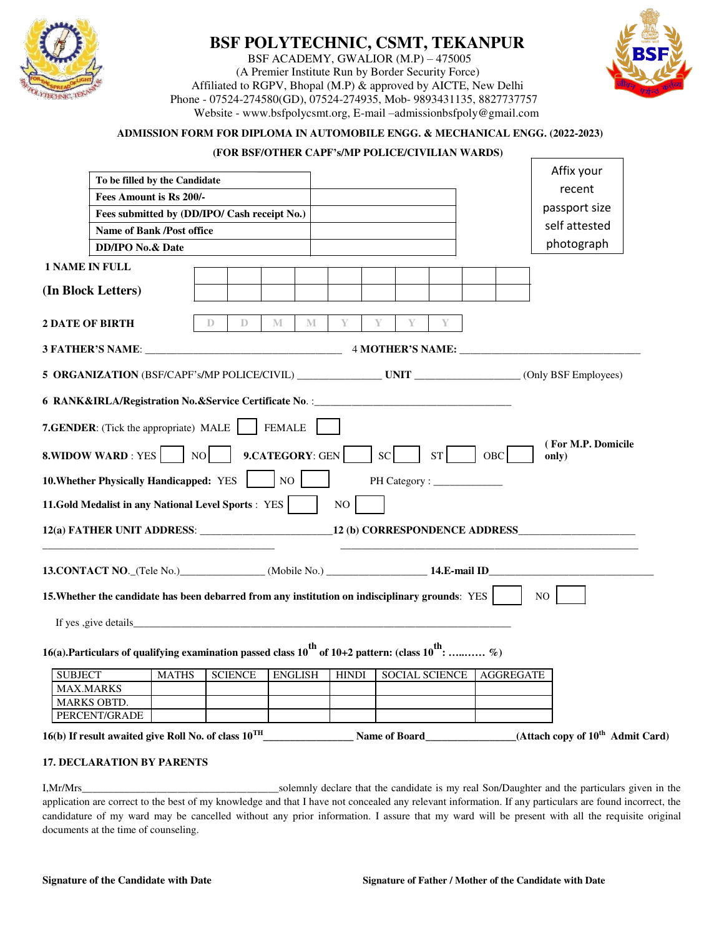

# **BSF POLYTECHNIC, CSMT, TEKANPUR**

 BSF ACADEMY, GWALIOR (M.P) – 475005 (A Premier Institute Run by Border Security Force) Affiliated to RGPV, Bhopal (M.P) & approved by AICTE, New Delhi Phone - 07524-274580(GD), 07524-274935, Mob- 9893431135, 8827737757 Website - www.bsfpolycsmt.org, E-mail –admissionbsfpoly@gmail.com



#### **ADMISSION FORM FOR DIPLOMA IN AUTOMOBILE ENGG. & MECHANICAL ENGG. (2022-2023)**

#### **(FOR BSF/OTHER CAPF's/MP POLICE/CIVILIAN WARDS)**

|                                        | To be filled by the Candidate                                                                               |                |                   |   |              |               |   |                       |            |                | Affix your         |                                                            |
|----------------------------------------|-------------------------------------------------------------------------------------------------------------|----------------|-------------------|---|--------------|---------------|---|-----------------------|------------|----------------|--------------------|------------------------------------------------------------|
|                                        |                                                                                                             |                |                   |   |              |               |   |                       |            |                | recent             |                                                            |
|                                        | Fees Amount is Rs 200/-                                                                                     |                |                   |   |              |               |   |                       |            |                | passport size      |                                                            |
|                                        | Fees submitted by (DD/IPO/ Cash receipt No.)                                                                |                |                   |   |              |               |   |                       |            |                | self attested      |                                                            |
|                                        | <b>Name of Bank /Post office</b>                                                                            |                |                   |   |              |               |   |                       |            |                | photograph         |                                                            |
|                                        | <b>DD/IPO No.&amp; Date</b>                                                                                 |                |                   |   |              |               |   |                       |            |                |                    |                                                            |
| <b>1 NAME IN FULL</b>                  |                                                                                                             |                |                   |   |              |               |   |                       |            |                |                    |                                                            |
| (In Block Letters)                     |                                                                                                             |                |                   |   |              |               |   |                       |            |                |                    |                                                            |
| <b>2 DATE OF BIRTH</b>                 |                                                                                                             | D              | M<br>$\mathbb{D}$ | M |              |               | Y |                       |            |                |                    |                                                            |
|                                        |                                                                                                             |                |                   |   |              |               |   |                       |            |                |                    |                                                            |
|                                        |                                                                                                             |                |                   |   |              |               |   |                       |            |                |                    |                                                            |
|                                        | 6 RANK&IRLA/Registration No.&Service Certificate No. :__________________________                            |                |                   |   |              |               |   |                       |            |                |                    |                                                            |
|                                        | 7.GENDER: (Tick the appropriate) MALE                                                                       |                | <b>FEMALE</b>     |   |              |               |   |                       |            |                |                    |                                                            |
|                                        | <b>8.WIDOW WARD: YES</b> NO                                                                                 |                | 9.CATEGORY: GEN   |   |              | <sub>SC</sub> |   | ST                    | <b>OBC</b> | only)          | (For M.P. Domicile |                                                            |
|                                        | 10. Whether Physically Handicapped: YES                                                                     |                | NO                |   |              |               |   |                       |            |                |                    |                                                            |
|                                        | 11.Gold Medalist in any National Level Sports : YES                                                         |                |                   |   | NO           |               |   |                       |            |                |                    |                                                            |
|                                        |                                                                                                             |                |                   |   |              |               |   |                       |            |                |                    |                                                            |
|                                        | 13. CONTACT NO. (Tele No.) (Mobile No.) (Mobile No.) 14. E-mail ID                                          |                |                   |   |              |               |   |                       |            |                |                    |                                                            |
|                                        | 15. Whether the candidate has been debarred from any institution on indisciplinary grounds: YES             |                |                   |   |              |               |   |                       |            | N <sub>O</sub> |                    |                                                            |
|                                        | If yes , give details                                                                                       |                |                   |   |              |               |   |                       |            |                |                    |                                                            |
|                                        | 16(a). Particulars of qualifying examination passed class $10^{th}$ of 10+2 pattern: (class $10^{th}$ :  %) |                |                   |   |              |               |   |                       |            |                |                    |                                                            |
|                                        |                                                                                                             |                |                   |   |              |               |   |                       |            |                |                    |                                                            |
| <b>SUBJECT</b>                         | <b>MATHS</b>                                                                                                | <b>SCIENCE</b> | <b>ENGLISH</b>    |   | <b>HINDI</b> |               |   | <b>SOCIAL SCIENCE</b> | AGGREGATE  |                |                    |                                                            |
| <b>MAX.MARKS</b><br><b>MARKS OBTD.</b> |                                                                                                             |                |                   |   |              |               |   |                       |            |                |                    |                                                            |
| PERCENT/GRADE                          |                                                                                                             |                |                   |   |              |               |   |                       |            |                |                    |                                                            |
|                                        |                                                                                                             |                |                   |   |              |               |   |                       |            |                |                    |                                                            |
|                                        | 16(b) If result awaited give Roll No. of class $10^{TH}$                                                    |                |                   |   |              |               |   |                       |            |                |                    | Name of Board (Attach copy of 10 <sup>th</sup> Admit Card) |
|                                        | <b>17. DECLARATION BY PARENTS</b>                                                                           |                |                   |   |              |               |   |                       |            |                |                    |                                                            |
|                                        |                                                                                                             |                |                   |   |              |               |   |                       |            |                |                    |                                                            |

I,Mr/Mrs\_\_\_\_\_\_\_\_\_\_\_\_\_\_\_\_\_\_\_\_\_\_\_\_\_\_\_\_\_\_\_\_\_\_\_\_\_solemnly declare that the candidate is my real Son/Daughter and the particulars given in the application are correct to the best of my knowledge and that I have not concealed any relevant information. If any particulars are found incorrect, the candidature of my ward may be cancelled without any prior information. I assure that my ward will be present with all the requisite original documents at the time of counseling.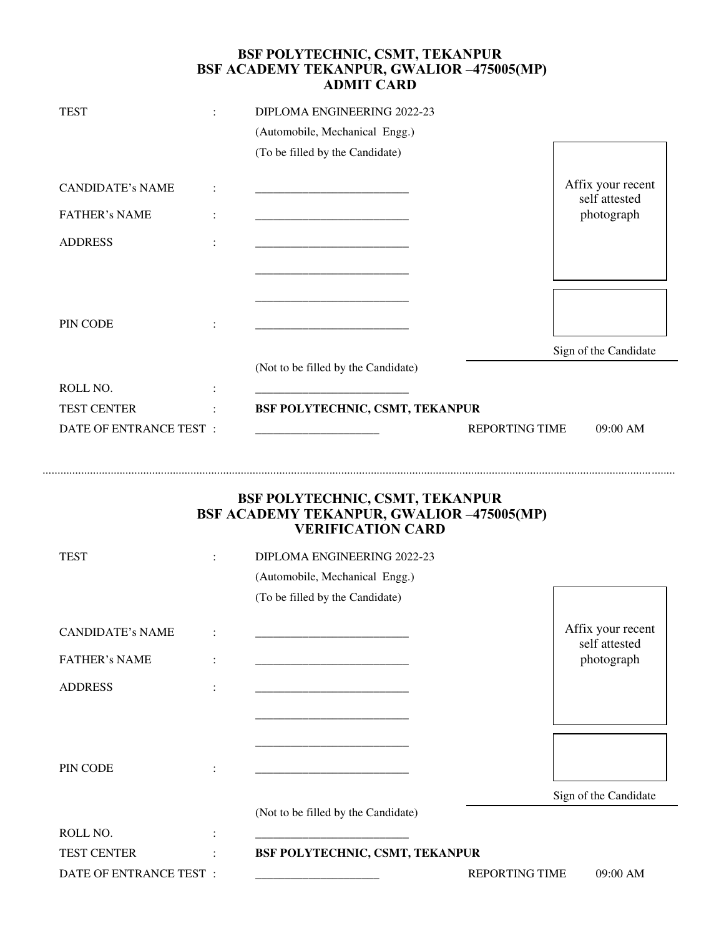### **BSF POLYTECHNIC, CSMT, TEKANPUR BSF ACADEMY TEKANPUR, GWALIOR –475005(MP) ADMIT CARD**

| <b>TEST</b><br>$\ddot{\phantom{a}}$ |                | DIPLOMA ENGINEERING 2022-23         |                                    |  |  |  |
|-------------------------------------|----------------|-------------------------------------|------------------------------------|--|--|--|
|                                     |                | (Automobile, Mechanical Engg.)      |                                    |  |  |  |
|                                     |                | (To be filled by the Candidate)     |                                    |  |  |  |
| <b>CANDIDATE's NAME</b>             | ÷              |                                     | Affix your recent<br>self attested |  |  |  |
| <b>FATHER's NAME</b>                | $\ddot{\cdot}$ |                                     | photograph                         |  |  |  |
| <b>ADDRESS</b>                      | $\ddot{\cdot}$ |                                     |                                    |  |  |  |
|                                     |                |                                     |                                    |  |  |  |
| PIN CODE                            |                |                                     |                                    |  |  |  |
|                                     |                |                                     | Sign of the Candidate              |  |  |  |
|                                     |                | (Not to be filled by the Candidate) |                                    |  |  |  |
| ROLL NO.                            | $\ddot{\cdot}$ |                                     |                                    |  |  |  |
| <b>TEST CENTER</b>                  | $\ddot{\cdot}$ | BSF POLYTECHNIC, CSMT, TEKANPUR     |                                    |  |  |  |
| DATE OF ENTRANCE TEST :             |                | <b>REPORTING TIME</b>               | $09:00$ AM                         |  |  |  |

### **BSF POLYTECHNIC, CSMT, TEKANPUR BSF ACADEMY TEKANPUR, GWALIOR –475005(MP) VERIFICATION CARD**

......................................................................................................................................................................................................................

| <b>TEST</b><br>$\ddot{\cdot}$ |                      | DIPLOMA ENGINEERING 2022-23                                                                                          |                                    |  |  |  |
|-------------------------------|----------------------|----------------------------------------------------------------------------------------------------------------------|------------------------------------|--|--|--|
|                               |                      | (Automobile, Mechanical Engg.)                                                                                       |                                    |  |  |  |
|                               |                      | (To be filled by the Candidate)                                                                                      |                                    |  |  |  |
| <b>CANDIDATE's NAME</b>       | $\ddot{\cdot}$       |                                                                                                                      | Affix your recent<br>self attested |  |  |  |
| <b>FATHER's NAME</b>          | $\ddot{\phantom{a}}$ | <u> 1989 - Johann John Stone, mars eta bainar eta industrial eta industrial eta industrial eta industrial eta in</u> | photograph                         |  |  |  |
| <b>ADDRESS</b>                | $\ddot{\cdot}$       | <u> 1980 - Jan James James Barnett, fransk politik (d. 1980)</u>                                                     |                                    |  |  |  |
|                               |                      |                                                                                                                      |                                    |  |  |  |
| PIN CODE                      | $\ddot{\cdot}$       |                                                                                                                      |                                    |  |  |  |
|                               |                      |                                                                                                                      | Sign of the Candidate              |  |  |  |
|                               |                      | (Not to be filled by the Candidate)                                                                                  |                                    |  |  |  |
| ROLL NO.                      | $\ddot{\phantom{a}}$ |                                                                                                                      |                                    |  |  |  |
| <b>TEST CENTER</b>            | $\ddot{\phantom{a}}$ | BSF POLYTECHNIC, CSMT, TEKANPUR                                                                                      |                                    |  |  |  |
| DATE OF ENTRANCE TEST :       |                      |                                                                                                                      | <b>REPORTING TIME</b><br>09:00 AM  |  |  |  |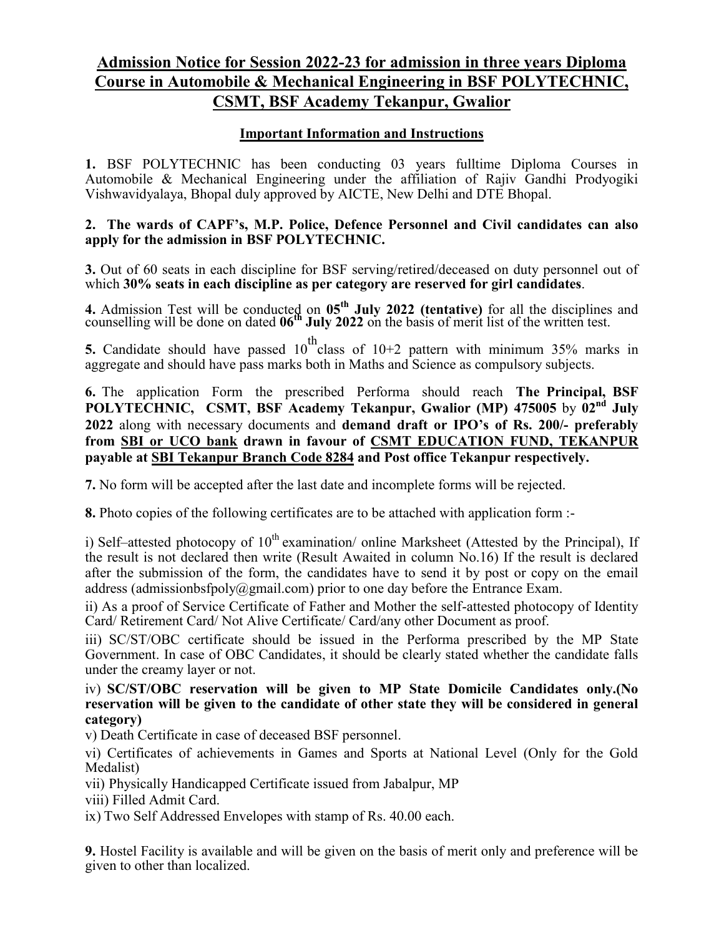# **Admission Notice for Session 2022-23 for admission in three years Diploma Course in Automobile & Mechanical Engineering in BSF POLYTECHNIC, CSMT, BSF Academy Tekanpur, Gwalior**

## **Important Information and Instructions**

**1.** BSF POLYTECHNIC has been conducting 03 years fulltime Diploma Courses in Automobile & Mechanical Engineering under the affiliation of Rajiv Gandhi Prodyogiki Vishwavidyalaya, Bhopal duly approved by AICTE, New Delhi and DTE Bhopal.

### **2. The wards of CAPF's, M.P. Police, Defence Personnel and Civil candidates can also apply for the admission in BSF POLYTECHNIC.**

**3.** Out of 60 seats in each discipline for BSF serving/retired/deceased on duty personnel out of which **30% seats in each discipline as per category are reserved for girl candidates**.

**4.** Admission Test will be conducted on  $05<sup>th</sup>$  July 2022 (tentative) for all the disciplines and counselling will be done on dated **06th July 2022** on the basis of merit list of the written test.

**5.** Candidate should have passed  $10^{th}$ class of  $10+2$  pattern with minimum 35% marks in aggregate and should have pass marks both in Maths and Science as compulsory subjects.

**6.** The application Form the prescribed Performa should reach **The Principal, BSF POLYTECHNIC, CSMT, BSF Academy Tekanpur, Gwalior (MP) 475005** by **02nd July 2022** along with necessary documents and **demand draft or IPO's of Rs. 200/- preferably from SBI or UCO bank drawn in favour of CSMT EDUCATION FUND, TEKANPUR payable at SBI Tekanpur Branch Code 8284 and Post office Tekanpur respectively.** 

**7.** No form will be accepted after the last date and incomplete forms will be rejected.

**8.** Photo copies of the following certificates are to be attached with application form :-

i) Self–attested photocopy of  $10^{th}$  examination/ online Marksheet (Attested by the Principal), If the result is not declared then write (Result Awaited in column No.16) If the result is declared after the submission of the form, the candidates have to send it by post or copy on the email address (admissionbsfpoly@gmail.com) prior to one day before the Entrance Exam.

ii) As a proof of Service Certificate of Father and Mother the self-attested photocopy of Identity Card/ Retirement Card/ Not Alive Certificate/ Card/any other Document as proof.

iii) SC/ST/OBC certificate should be issued in the Performa prescribed by the MP State Government. In case of OBC Candidates, it should be clearly stated whether the candidate falls under the creamy layer or not.

iv) **SC/ST/OBC reservation will be given to MP State Domicile Candidates only.(No reservation will be given to the candidate of other state they will be considered in general category)**

v) Death Certificate in case of deceased BSF personnel.

vi) Certificates of achievements in Games and Sports at National Level (Only for the Gold Medalist)

vii) Physically Handicapped Certificate issued from Jabalpur, MP

viii) Filled Admit Card.

ix) Two Self Addressed Envelopes with stamp of Rs. 40.00 each.

**9.** Hostel Facility is available and will be given on the basis of merit only and preference will be given to other than localized.